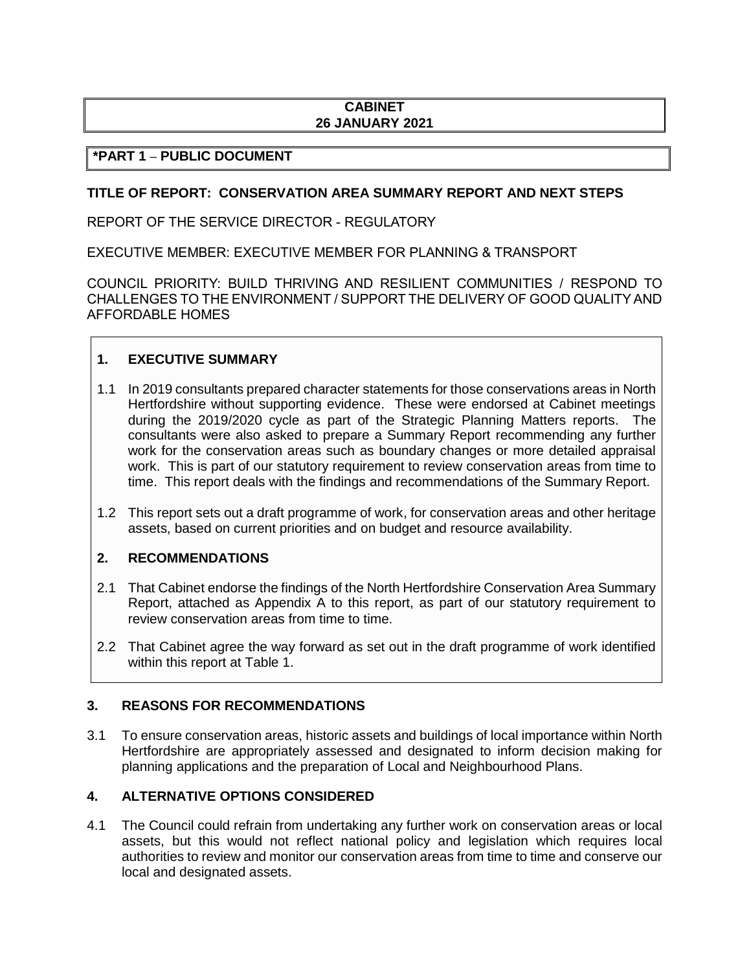# **CABINET 26 JANUARY 2021**

# **\*PART 1 – PUBLIC DOCUMENT**

### **TITLE OF REPORT: CONSERVATION AREA SUMMARY REPORT AND NEXT STEPS**

REPORT OF THE SERVICE DIRECTOR - REGULATORY

EXECUTIVE MEMBER: EXECUTIVE MEMBER FOR PLANNING & TRANSPORT

COUNCIL PRIORITY: BUILD THRIVING AND RESILIENT COMMUNITIES / RESPOND TO CHALLENGES TO THE ENVIRONMENT / SUPPORT THE DELIVERY OF GOOD QUALITY AND AFFORDABLE HOMES

# **1. EXECUTIVE SUMMARY**

- 1.1 In 2019 consultants prepared character statements for those conservations areas in North Hertfordshire without supporting evidence. These were endorsed at Cabinet meetings during the 2019/2020 cycle as part of the Strategic Planning Matters reports. The consultants were also asked to prepare a Summary Report recommending any further work for the conservation areas such as boundary changes or more detailed appraisal work. This is part of our statutory requirement to review conservation areas from time to time. This report deals with the findings and recommendations of the Summary Report.
- 1.2 This report sets out a draft programme of work, for conservation areas and other heritage assets, based on current priorities and on budget and resource availability.

## **2. RECOMMENDATIONS**

- 2.1 That Cabinet endorse the findings of the North Hertfordshire Conservation Area Summary Report, attached as Appendix A to this report, as part of our statutory requirement to review conservation areas from time to time.
- 2.2 That Cabinet agree the way forward as set out in the draft programme of work identified within this report at Table 1.

## **3. REASONS FOR RECOMMENDATIONS**

3.1 To ensure conservation areas, historic assets and buildings of local importance within North Hertfordshire are appropriately assessed and designated to inform decision making for planning applications and the preparation of Local and Neighbourhood Plans.

# **4. ALTERNATIVE OPTIONS CONSIDERED**

4.1 The Council could refrain from undertaking any further work on conservation areas or local assets, but this would not reflect national policy and legislation which requires local authorities to review and monitor our conservation areas from time to time and conserve our local and designated assets.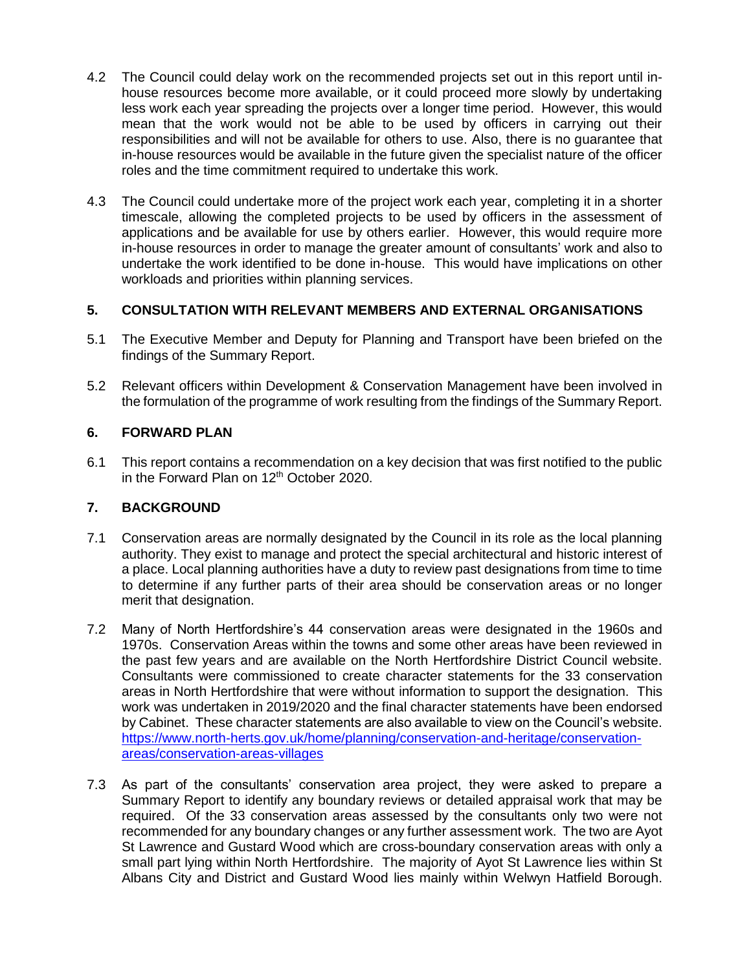- 4.2 The Council could delay work on the recommended projects set out in this report until inhouse resources become more available, or it could proceed more slowly by undertaking less work each year spreading the projects over a longer time period. However, this would mean that the work would not be able to be used by officers in carrying out their responsibilities and will not be available for others to use. Also, there is no guarantee that in-house resources would be available in the future given the specialist nature of the officer roles and the time commitment required to undertake this work.
- 4.3 The Council could undertake more of the project work each year, completing it in a shorter timescale, allowing the completed projects to be used by officers in the assessment of applications and be available for use by others earlier. However, this would require more in-house resources in order to manage the greater amount of consultants' work and also to undertake the work identified to be done in-house. This would have implications on other workloads and priorities within planning services.

## **5. CONSULTATION WITH RELEVANT MEMBERS AND EXTERNAL ORGANISATIONS**

- 5.1 The Executive Member and Deputy for Planning and Transport have been briefed on the findings of the Summary Report.
- 5.2 Relevant officers within Development & Conservation Management have been involved in the formulation of the programme of work resulting from the findings of the Summary Report.

# **6. FORWARD PLAN**

6.1 This report contains a recommendation on a key decision that was first notified to the public in the Forward Plan on 12<sup>th</sup> October 2020.

## **7. BACKGROUND**

- 7.1 Conservation areas are normally designated by the Council in its role as the local planning authority. They exist to manage and protect the special architectural and historic interest of a place. Local planning authorities have a duty to review past designations from time to time to determine if any further parts of their area should be conservation areas or no longer merit that designation.
- 7.2 Many of North Hertfordshire's 44 conservation areas were designated in the 1960s and 1970s. Conservation Areas within the towns and some other areas have been reviewed in the past few years and are available on the North Hertfordshire District Council website. Consultants were commissioned to create character statements for the 33 conservation areas in North Hertfordshire that were without information to support the designation. This work was undertaken in 2019/2020 and the final character statements have been endorsed by Cabinet. These character statements are also available to view on the Council'[s website.](https://www.north-herts.gov.uk/home/planning/conservation-and-heritage/conservation-areas/conservation-areas-villages) [https://www.north-herts.gov.uk/home/planning/conservation-and-heritage/conservation](https://www.north-herts.gov.uk/home/planning/conservation-and-heritage/conservation-areas/conservation-areas-villages)[areas/conservation-areas-villages](https://www.north-herts.gov.uk/home/planning/conservation-and-heritage/conservation-areas/conservation-areas-villages)
- 7.3 As part of the consultants' conservation area project, they were asked to prepare a Summary Report to identify any boundary reviews or detailed appraisal work that may be required. Of the 33 conservation areas assessed by the consultants only two were not recommended for any boundary changes or any further assessment work. The two are Ayot St Lawrence and Gustard Wood which are cross-boundary conservation areas with only a small part lying within North Hertfordshire. The majority of Ayot St Lawrence lies within St Albans City and District and Gustard Wood lies mainly within Welwyn Hatfield Borough.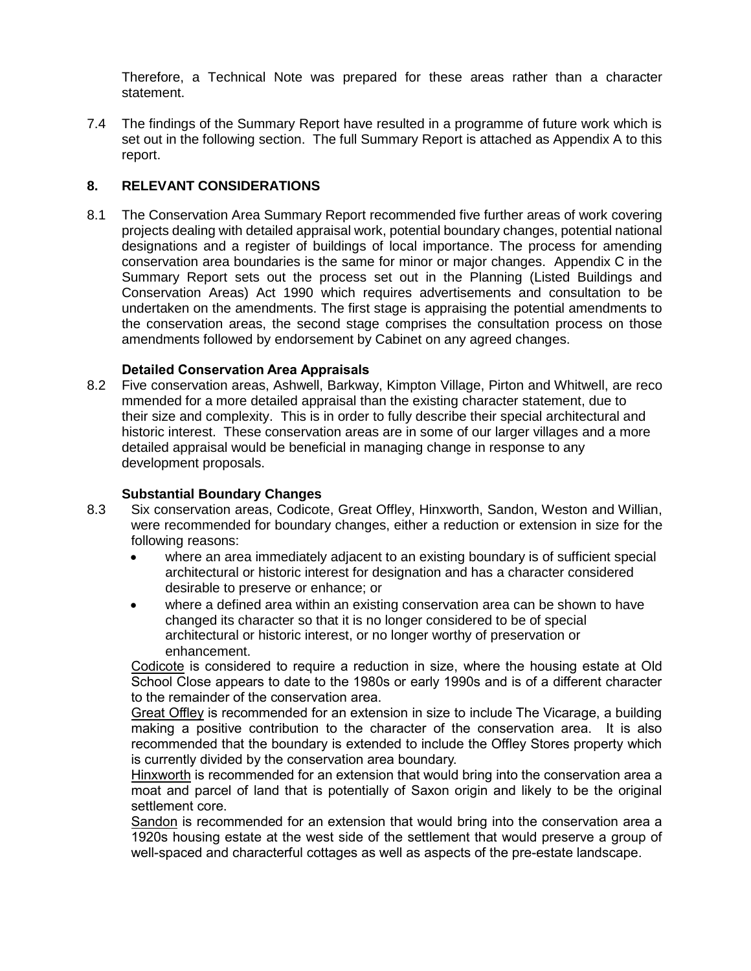Therefore, a Technical Note was prepared for these areas rather than a character statement.

7.4 The findings of the Summary Report have resulted in a programme of future work which is set out in the following section. The full Summary Report is attached as Appendix A to this report.

## **8. RELEVANT CONSIDERATIONS**

8.1 The Conservation Area Summary Report recommended five further areas of work covering projects dealing with detailed appraisal work, potential boundary changes, potential national designations and a register of buildings of local importance. The process for amending conservation area boundaries is the same for minor or major changes. Appendix C in the Summary Report sets out the process set out in the Planning (Listed Buildings and Conservation Areas) Act 1990 which requires advertisements and consultation to be undertaken on the amendments. The first stage is appraising the potential amendments to the conservation areas, the second stage comprises the consultation process on those amendments followed by endorsement by Cabinet on any agreed changes.

## **Detailed Conservation Area Appraisals**

8.2 Five conservation areas, Ashwell, Barkway, Kimpton Village, Pirton and Whitwell, are reco mmended for a more detailed appraisal than the existing character statement, due to their size and complexity. This is in order to fully describe their special architectural and historic interest. These conservation areas are in some of our larger villages and a more detailed appraisal would be beneficial in managing change in response to any development proposals.

## **Substantial Boundary Changes**

- 8.3 Six conservation areas, Codicote, Great Offley, Hinxworth, Sandon, Weston and Willian, were recommended for boundary changes, either a reduction or extension in size for the following reasons:
	- where an area immediately adjacent to an existing boundary is of sufficient special architectural or historic interest for designation and has a character considered desirable to preserve or enhance; or
	- where a defined area within an existing conservation area can be shown to have changed its character so that it is no longer considered to be of special architectural or historic interest, or no longer worthy of preservation or enhancement.

Codicote is considered to require a reduction in size, where the housing estate at Old School Close appears to date to the 1980s or early 1990s and is of a different character to the remainder of the conservation area.

Great Offley is recommended for an extension in size to include The Vicarage, a building making a positive contribution to the character of the conservation area. It is also recommended that the boundary is extended to include the Offley Stores property which is currently divided by the conservation area boundary.

Hinxworth is recommended for an extension that would bring into the conservation area a moat and parcel of land that is potentially of Saxon origin and likely to be the original settlement core.

Sandon is recommended for an extension that would bring into the conservation area a 1920s housing estate at the west side of the settlement that would preserve a group of well-spaced and characterful cottages as well as aspects of the pre-estate landscape.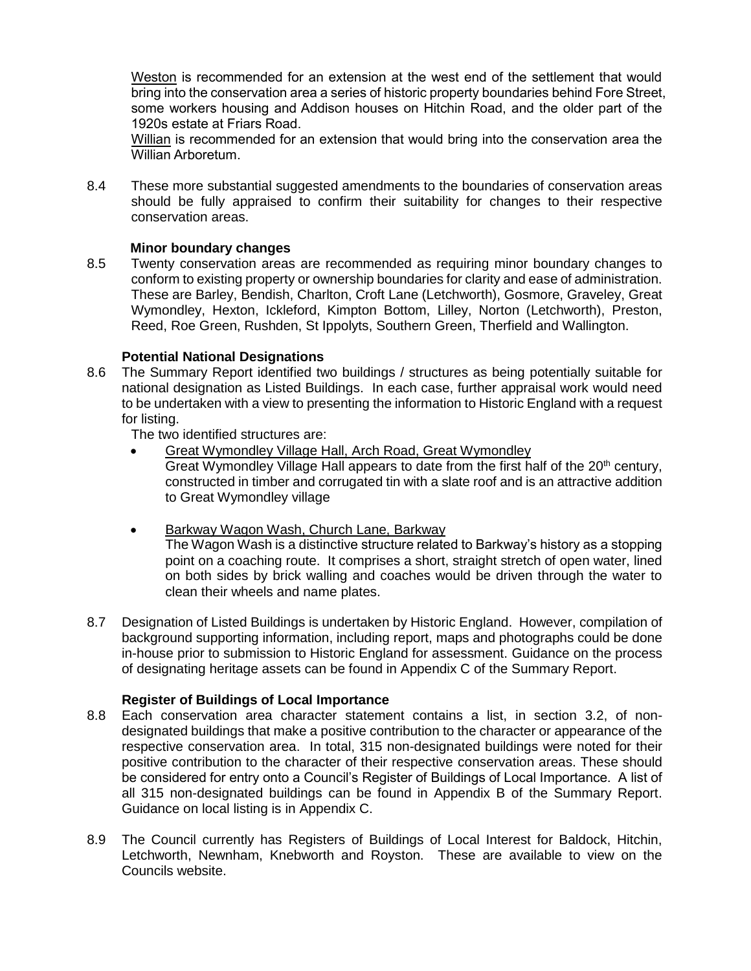Weston is recommended for an extension at the west end of the settlement that would bring into the conservation area a series of historic property boundaries behind Fore Street, some workers housing and Addison houses on Hitchin Road, and the older part of the 1920s estate at Friars Road.

Willian is recommended for an extension that would bring into the conservation area the Willian Arboretum.

8.4 These more substantial suggested amendments to the boundaries of conservation areas should be fully appraised to confirm their suitability for changes to their respective conservation areas.

### **Minor boundary changes**

8.5 Twenty conservation areas are recommended as requiring minor boundary changes to conform to existing property or ownership boundaries for clarity and ease of administration. These are Barley, Bendish, Charlton, Croft Lane (Letchworth), Gosmore, Graveley, Great Wymondley, Hexton, Ickleford, Kimpton Bottom, Lilley, Norton (Letchworth), Preston, Reed, Roe Green, Rushden, St Ippolyts, Southern Green, Therfield and Wallington.

### **Potential National Designations**

8.6 The Summary Report identified two buildings / structures as being potentially suitable for national designation as Listed Buildings. In each case, further appraisal work would need to be undertaken with a view to presenting the information to Historic England with a request for listing.

The two identified structures are:

- Great Wymondley Village Hall, Arch Road, Great Wymondley
	- Great Wymondley Village Hall appears to date from the first half of the  $20<sup>th</sup>$  century, constructed in timber and corrugated tin with a slate roof and is an attractive addition to Great Wymondley village
- Barkway Wagon Wash, Church Lane, Barkway The Wagon Wash is a distinctive structure related to Barkway's history as a stopping point on a coaching route. It comprises a short, straight stretch of open water, lined on both sides by brick walling and coaches would be driven through the water to clean their wheels and name plates.
- 8.7 Designation of Listed Buildings is undertaken by Historic England. However, compilation of background supporting information, including report, maps and photographs could be done in-house prior to submission to Historic England for assessment. Guidance on the process of designating heritage assets can be found in Appendix C of the Summary Report.

## **Register of Buildings of Local Importance**

- 8.8 Each conservation area character statement contains a list, in section 3.2, of nondesignated buildings that make a positive contribution to the character or appearance of the respective conservation area. In total, 315 non-designated buildings were noted for their positive contribution to the character of their respective conservation areas. These should be considered for entry onto a Council's Register of Buildings of Local Importance. A list of all 315 non-designated buildings can be found in Appendix B of the Summary Report. Guidance on local listing is in Appendix C.
- 8.9 The Council currently has Registers of Buildings of Local Interest for Baldock, Hitchin, Letchworth, Newnham, Knebworth and Royston. These are available to view on the Councils website.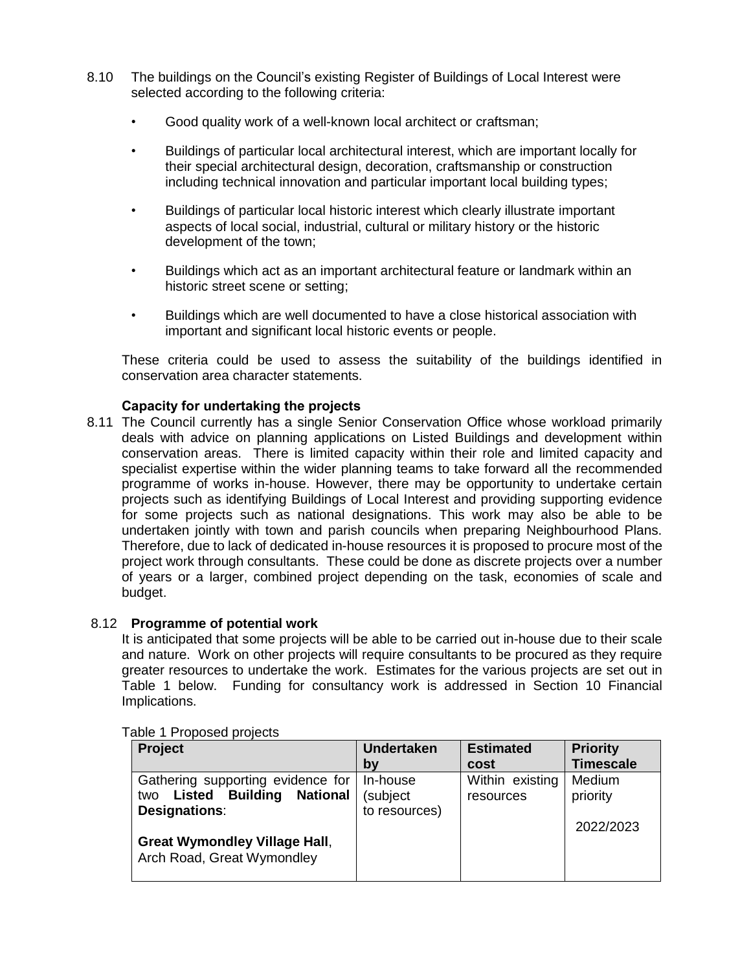- 8.10 The buildings on the Council's existing Register of Buildings of Local Interest were selected according to the following criteria:
	- Good quality work of a well-known local architect or craftsman;
	- Buildings of particular local architectural interest, which are important locally for their special architectural design, decoration, craftsmanship or construction including technical innovation and particular important local building types;
	- Buildings of particular local historic interest which clearly illustrate important aspects of local social, industrial, cultural or military history or the historic development of the town;
	- Buildings which act as an important architectural feature or landmark within an historic street scene or setting;
	- Buildings which are well documented to have a close historical association with important and significant local historic events or people.

These criteria could be used to assess the suitability of the buildings identified in conservation area character statements.

### **Capacity for undertaking the projects**

8.11 The Council currently has a single Senior Conservation Office whose workload primarily deals with advice on planning applications on Listed Buildings and development within conservation areas. There is limited capacity within their role and limited capacity and specialist expertise within the wider planning teams to take forward all the recommended programme of works in-house. However, there may be opportunity to undertake certain projects such as identifying Buildings of Local Interest and providing supporting evidence for some projects such as national designations. This work may also be able to be undertaken jointly with town and parish councils when preparing Neighbourhood Plans. Therefore, due to lack of dedicated in-house resources it is proposed to procure most of the project work through consultants. These could be done as discrete projects over a number of years or a larger, combined project depending on the task, economies of scale and budget.

#### 8.12 **Programme of potential work**

It is anticipated that some projects will be able to be carried out in-house due to their scale and nature. Work on other projects will require consultants to be procured as they require greater resources to undertake the work. Estimates for the various projects are set out in Table 1 below. Funding for consultancy work is addressed in Section 10 Financial Implications.

| Project                                | <b>Undertaken</b> | <b>Estimated</b> | <b>Priority</b>  |
|----------------------------------------|-------------------|------------------|------------------|
|                                        | by                | cost             | <b>Timescale</b> |
| Gathering supporting evidence for      | In-house          | Within existing  | Medium           |
| <b>Listed Building National</b><br>two | (subject          | resources        | priority         |
| <b>Designations:</b>                   | to resources)     |                  |                  |
|                                        |                   |                  | 2022/2023        |
| <b>Great Wymondley Village Hall,</b>   |                   |                  |                  |
| Arch Road, Great Wymondley             |                   |                  |                  |
|                                        |                   |                  |                  |

#### Table 1 Proposed projects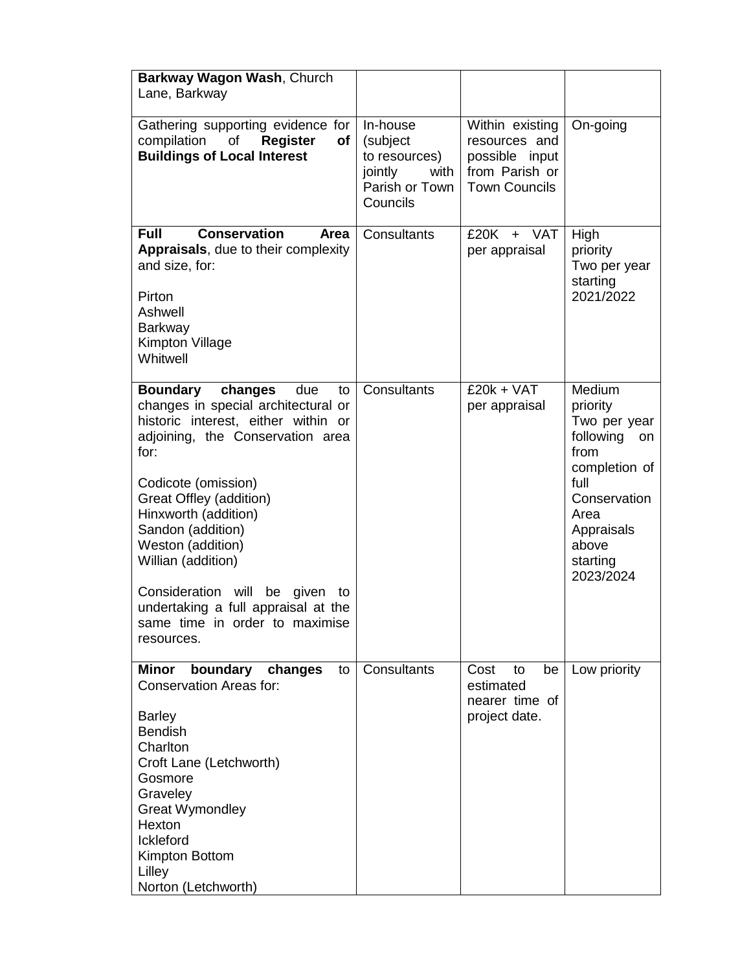| Barkway Wagon Wash, Church<br>Lane, Barkway                                                                                                                                                                                                                                                                                                                                                                                                   |                                                                                        |                                                                                              |                                                                                                                                                                |
|-----------------------------------------------------------------------------------------------------------------------------------------------------------------------------------------------------------------------------------------------------------------------------------------------------------------------------------------------------------------------------------------------------------------------------------------------|----------------------------------------------------------------------------------------|----------------------------------------------------------------------------------------------|----------------------------------------------------------------------------------------------------------------------------------------------------------------|
| Gathering supporting evidence for<br>of<br>compilation<br><b>Register</b><br><b>of</b><br><b>Buildings of Local Interest</b>                                                                                                                                                                                                                                                                                                                  | In-house<br>(subject<br>to resources)<br>jointly<br>with<br>Parish or Town<br>Councils | Within existing<br>resources and<br>possible input<br>from Parish or<br><b>Town Councils</b> | On-going                                                                                                                                                       |
| <b>Conservation</b><br><b>Full</b><br>Area<br>Appraisals, due to their complexity<br>and size, for:<br>Pirton<br>Ashwell<br><b>Barkway</b><br>Kimpton Village<br>Whitwell                                                                                                                                                                                                                                                                     | Consultants                                                                            | £20K<br>+ VAT<br>per appraisal                                                               | High<br>priority<br>Two per year<br>starting<br>2021/2022                                                                                                      |
| <b>Boundary</b><br>changes<br>due<br>to<br>changes in special architectural or<br>historic interest, either within or<br>adjoining, the Conservation area<br>for:<br>Codicote (omission)<br>Great Offley (addition)<br>Hinxworth (addition)<br>Sandon (addition)<br>Weston (addition)<br>Willian (addition)<br>Consideration will<br>be<br>given<br>to<br>undertaking a full appraisal at the<br>same time in order to maximise<br>resources. | Consultants                                                                            | $£20k + VAT$<br>per appraisal                                                                | Medium<br>priority<br>Two per year<br>following<br>on<br>from<br>completion of<br>full<br>Conservation<br>Area<br>Appraisals<br>above<br>starting<br>2023/2024 |
| boundary<br>Minor<br>changes<br>to<br><b>Conservation Areas for:</b><br><b>Barley</b><br><b>Bendish</b><br>Charlton<br>Croft Lane (Letchworth)<br>Gosmore<br>Graveley<br><b>Great Wymondley</b><br>Hexton<br>Ickleford<br>Kimpton Bottom<br>Lilley<br>Norton (Letchworth)                                                                                                                                                                     | Consultants                                                                            | Cost<br>to<br>be<br>estimated<br>nearer time of<br>project date.                             | Low priority                                                                                                                                                   |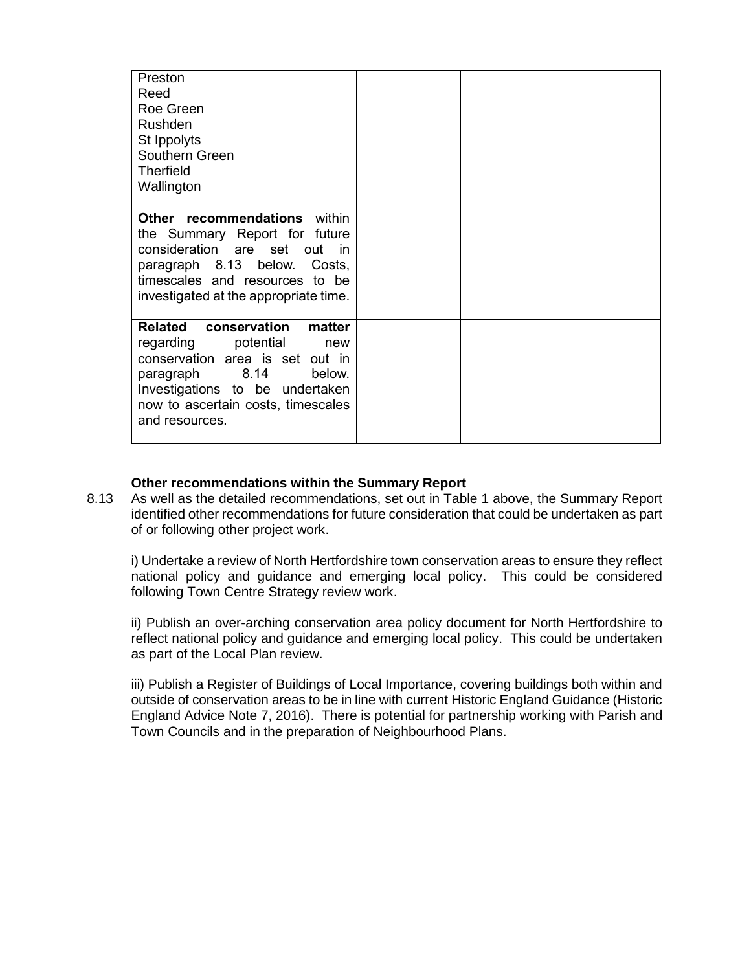| Preston<br>Reed<br>Roe Green<br>Rushden<br>St Ippolyts<br>Southern Green<br><b>Therfield</b><br>Wallington                                                                                                                          |  |  |
|-------------------------------------------------------------------------------------------------------------------------------------------------------------------------------------------------------------------------------------|--|--|
| Other recommendations within<br>the Summary Report for future<br>consideration are set out in<br>paragraph 8.13 below. Costs,<br>timescales and resources to be<br>investigated at the appropriate time.                            |  |  |
| <b>Related</b><br>conservation<br>matter<br>regarding<br>potential<br>new<br>conservation area is set out in<br>paragraph 8.14<br>below.<br>Investigations to be undertaken<br>now to ascertain costs, timescales<br>and resources. |  |  |

### **Other recommendations within the Summary Report**

8.13 As well as the detailed recommendations, set out in Table 1 above, the Summary Report identified other recommendations for future consideration that could be undertaken as part of or following other project work.

i) Undertake a review of North Hertfordshire town conservation areas to ensure they reflect national policy and guidance and emerging local policy. This could be considered following Town Centre Strategy review work.

ii) Publish an over-arching conservation area policy document for North Hertfordshire to reflect national policy and guidance and emerging local policy. This could be undertaken as part of the Local Plan review.

iii) Publish a Register of Buildings of Local Importance, covering buildings both within and outside of conservation areas to be in line with current Historic England Guidance (Historic England Advice Note 7, 2016). There is potential for partnership working with Parish and Town Councils and in the preparation of Neighbourhood Plans.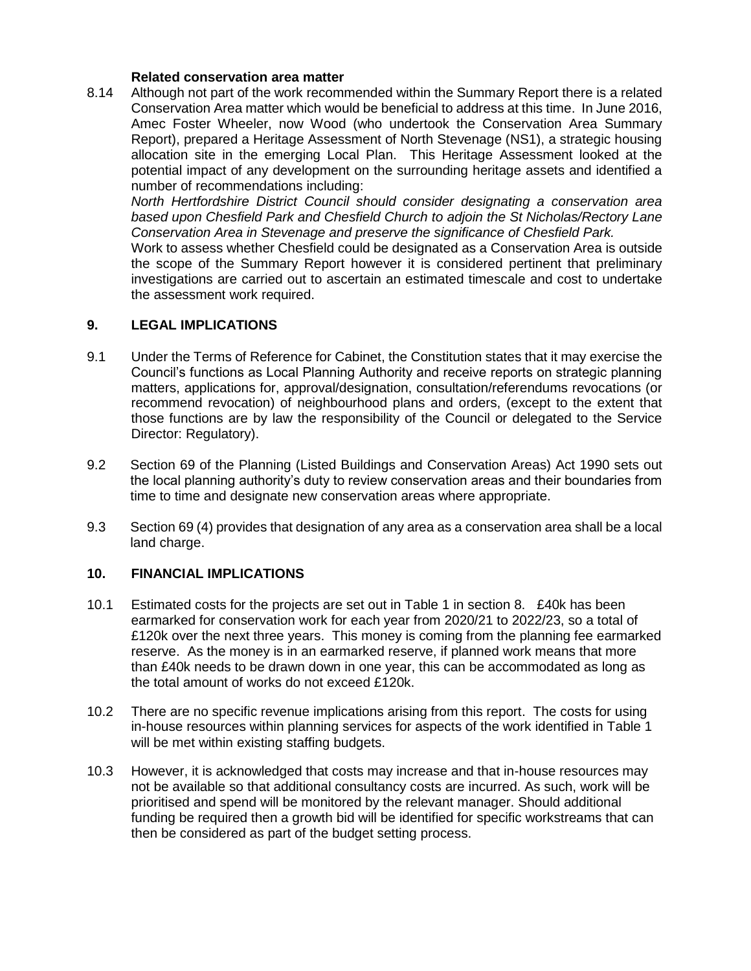### **Related conservation area matter**

8.14 Although not part of the work recommended within the Summary Report there is a related Conservation Area matter which would be beneficial to address at this time. In June 2016, Amec Foster Wheeler, now Wood (who undertook the Conservation Area Summary Report), prepared a Heritage Assessment of North Stevenage (NS1), a strategic housing allocation site in the emerging Local Plan. This Heritage Assessment looked at the potential impact of any development on the surrounding heritage assets and identified a number of recommendations including:

*North Hertfordshire District Council should consider designating a conservation area based upon Chesfield Park and Chesfield Church to adjoin the St Nicholas/Rectory Lane Conservation Area in Stevenage and preserve the significance of Chesfield Park.*

Work to assess whether Chesfield could be designated as a Conservation Area is outside the scope of the Summary Report however it is considered pertinent that preliminary investigations are carried out to ascertain an estimated timescale and cost to undertake the assessment work required.

### **9. LEGAL IMPLICATIONS**

- 9.1 Under the Terms of Reference for Cabinet, the Constitution states that it may exercise the Council's functions as Local Planning Authority and receive reports on strategic planning matters, applications for, approval/designation, consultation/referendums revocations (or recommend revocation) of neighbourhood plans and orders, (except to the extent that those functions are by law the responsibility of the Council or delegated to the Service Director: Regulatory).
- 9.2 Section 69 of the Planning (Listed Buildings and Conservation Areas) Act 1990 sets out the local planning authority's duty to review conservation areas and their boundaries from time to time and designate new conservation areas where appropriate.
- 9.3 Section 69 (4) provides that designation of any area as a conservation area shall be a local land charge.

## **10. FINANCIAL IMPLICATIONS**

- 10.1 Estimated costs for the projects are set out in Table 1 in section 8. £40k has been earmarked for conservation work for each year from 2020/21 to 2022/23, so a total of £120k over the next three years. This money is coming from the planning fee earmarked reserve. As the money is in an earmarked reserve, if planned work means that more than £40k needs to be drawn down in one year, this can be accommodated as long as the total amount of works do not exceed £120k.
- 10.2 There are no specific revenue implications arising from this report. The costs for using in-house resources within planning services for aspects of the work identified in Table 1 will be met within existing staffing budgets.
- 10.3 However, it is acknowledged that costs may increase and that in-house resources may not be available so that additional consultancy costs are incurred. As such, work will be prioritised and spend will be monitored by the relevant manager. Should additional funding be required then a growth bid will be identified for specific workstreams that can then be considered as part of the budget setting process.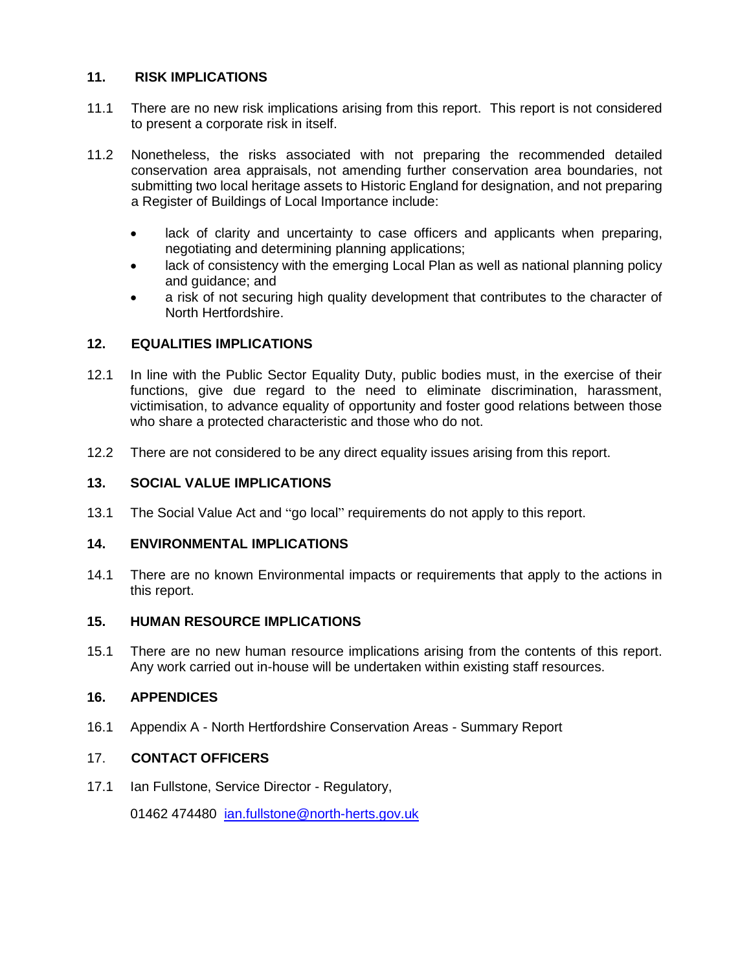## **11. RISK IMPLICATIONS**

- 11.1 There are no new risk implications arising from this report. This report is not considered to present a corporate risk in itself.
- 11.2 Nonetheless, the risks associated with not preparing the recommended detailed conservation area appraisals, not amending further conservation area boundaries, not submitting two local heritage assets to Historic England for designation, and not preparing a Register of Buildings of Local Importance include:
	- lack of clarity and uncertainty to case officers and applicants when preparing, negotiating and determining planning applications;
	- lack of consistency with the emerging Local Plan as well as national planning policy and guidance; and
	- a risk of not securing high quality development that contributes to the character of North Hertfordshire.

# **12. EQUALITIES IMPLICATIONS**

- 12.1 In line with the Public Sector Equality Duty, public bodies must, in the exercise of their functions, give due regard to the need to eliminate discrimination, harassment, victimisation, to advance equality of opportunity and foster good relations between those who share a protected characteristic and those who do not.
- 12.2 There are not considered to be any direct equality issues arising from this report.

## **13. SOCIAL VALUE IMPLICATIONS**

13.1 The Social Value Act and "go local" requirements do not apply to this report.

## **14. ENVIRONMENTAL IMPLICATIONS**

14.1 There are no known Environmental impacts or requirements that apply to the actions in this report.

## **15. HUMAN RESOURCE IMPLICATIONS**

15.1 There are no new human resource implications arising from the contents of this report. Any work carried out in-house will be undertaken within existing staff resources.

## **16. APPENDICES**

16.1 Appendix A - North Hertfordshire Conservation Areas - Summary Report

## 17. **CONTACT OFFICERS**

17.1 Ian Fullstone, Service Director - Regulatory,

01462 474480 [ian.fullstone@north-herts.gov.uk](mailto:ian.fullstone@north-herts.gov.uk)